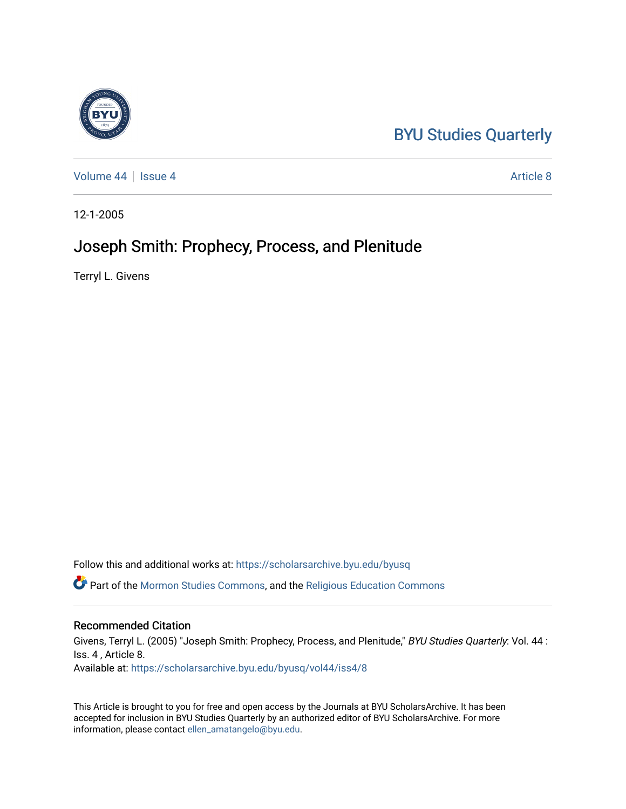## [BYU Studies Quarterly](https://scholarsarchive.byu.edu/byusq)

[Volume 44](https://scholarsarchive.byu.edu/byusq/vol44) | [Issue 4](https://scholarsarchive.byu.edu/byusq/vol44/iss4) Article 8

12-1-2005

### Joseph Smith: Prophecy, Process, and Plenitude

Terryl L. Givens

Follow this and additional works at: [https://scholarsarchive.byu.edu/byusq](https://scholarsarchive.byu.edu/byusq?utm_source=scholarsarchive.byu.edu%2Fbyusq%2Fvol44%2Fiss4%2F8&utm_medium=PDF&utm_campaign=PDFCoverPages) 

Part of the [Mormon Studies Commons](http://network.bepress.com/hgg/discipline/1360?utm_source=scholarsarchive.byu.edu%2Fbyusq%2Fvol44%2Fiss4%2F8&utm_medium=PDF&utm_campaign=PDFCoverPages), and the [Religious Education Commons](http://network.bepress.com/hgg/discipline/1414?utm_source=scholarsarchive.byu.edu%2Fbyusq%2Fvol44%2Fiss4%2F8&utm_medium=PDF&utm_campaign=PDFCoverPages) 

### Recommended Citation

Givens, Terryl L. (2005) "Joseph Smith: Prophecy, Process, and Plenitude," BYU Studies Quarterly: Vol. 44 : Iss. 4 , Article 8. Available at: [https://scholarsarchive.byu.edu/byusq/vol44/iss4/8](https://scholarsarchive.byu.edu/byusq/vol44/iss4/8?utm_source=scholarsarchive.byu.edu%2Fbyusq%2Fvol44%2Fiss4%2F8&utm_medium=PDF&utm_campaign=PDFCoverPages)

This Article is brought to you for free and open access by the Journals at BYU ScholarsArchive. It has been accepted for inclusion in BYU Studies Quarterly by an authorized editor of BYU ScholarsArchive. For more information, please contact [ellen\\_amatangelo@byu.edu.](mailto:ellen_amatangelo@byu.edu)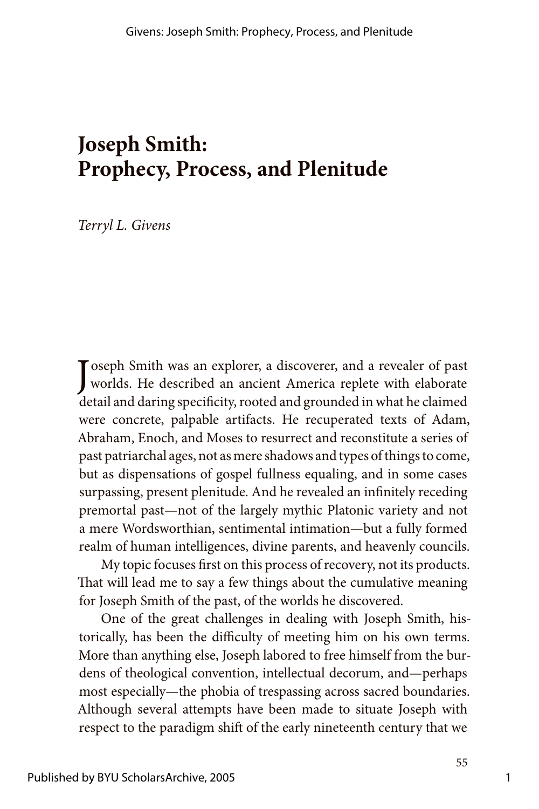# **Joseph Smith: Prophecy, Process, and Plenitude**

*Terryl L. Givens*

Joseph Smith was an explorer, a discoverer, and a revealer of past<br>worlds. He described an ancient America replete with elaborate Toseph Smith was an explorer, a discoverer, and a revealer of past detail and daring specificity, rooted and grounded in what he claimed were concrete, palpable artifacts. He recuperated texts of Adam, Abraham, Enoch, and Moses to resurrect and reconstitute a series of past patriarchal ages, not as mere shadows and types of things to come, but as dispensations of gospel fullness equaling, and in some cases surpassing, present plenitude. And he revealed an infinitely receding premortal past—not of the largely mythic Platonic variety and not a mere Wordsworthian, sentimental intimation—but a fully formed realm of human intelligences, divine parents, and heavenly councils.

 My topic focuses first on this process of recovery, not its products. That will lead me to say a few things about the cumulative meaning for Joseph Smith of the past, of the worlds he discovered.

 One of the great challenges in dealing with Joseph Smith, historically, has been the difficulty of meeting him on his own terms. More than anything else, Joseph labored to free himself from the burdens of theological convention, intellectual decorum, and—perhaps most especially—the phobia of trespassing across sacred boundaries. Although several attempts have been made to situate Joseph with respect to the paradigm shift of the early nineteenth century that we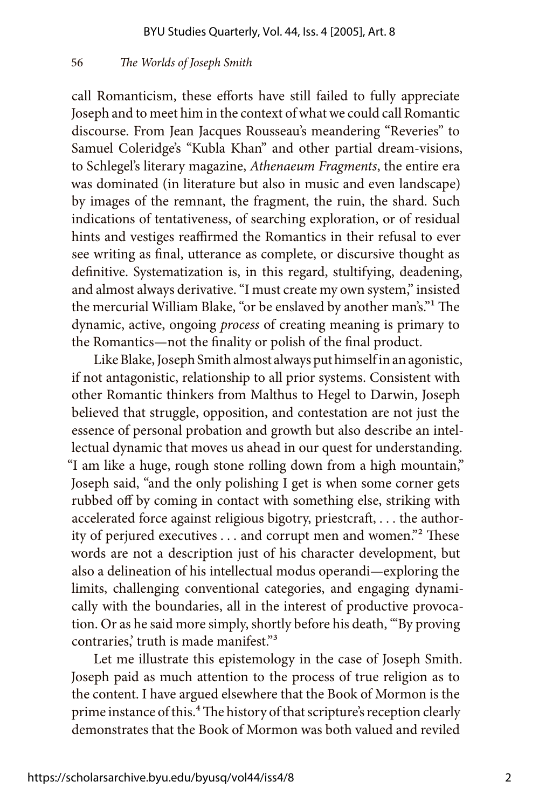call Romanticism, these efforts have still failed to fully appreciate Joseph and to meet him in the context of what we could call Romantic discourse. From Jean Jacques Rousseau's meandering "Reveries" to Samuel Coleridge's "Kubla Khan" and other partial dream-visions, to Schlegel's literary magazine, *Athenaeum Fragments*, the entire era was dominated (in literature but also in music and even landscape) by images of the remnant, the fragment, the ruin, the shard. Such indications of tentativeness, of searching exploration, or of residual hints and vestiges reaffirmed the Romantics in their refusal to ever see writing as final, utterance as complete, or discursive thought as definitive. Systematization is, in this regard, stultifying, deadening, and almost always derivative. "I must create my own system," insisted the mercurial William Blake, "or be enslaved by another man's."<sup>1</sup> The dynamic, active, ongoing *process* of creating meaning is primary to the Romantics—not the finality or polish of the final product.

 Like Blake, Joseph Smith almost always put himself in an agonistic, if not antagonistic, relationship to all prior systems. Consistent with other Romantic thinkers from Malthus to Hegel to Darwin, Joseph believed that struggle, opposition, and contestation are not just the essence of personal probation and growth but also describe an intellectual dynamic that moves us ahead in our quest for understanding. "I am like a huge, rough stone rolling down from a high mountain," Joseph said, "and the only polishing I get is when some corner gets rubbed off by coming in contact with something else, striking with accelerated force against religious bigotry, priestcraft, . . . the authority of perjured executives . . . and corrupt men and women."² These words are not a description just of his character development, but also a delineation of his intellectual modus operandi—exploring the limits, challenging conventional categories, and engaging dynamically with the boundaries, all in the interest of productive provocation. Or as he said more simply, shortly before his death, "'By proving contraries,' truth is made manifest."<sup>3</sup>

 Let me illustrate this epistemology in the case of Joseph Smith. Joseph paid as much attention to the process of true religion as to the content. I have argued elsewhere that the Book of Mormon is the prime instance of this.<sup>4</sup> The history of that scripture's reception clearly demonstrates that the Book of Mormon was both valued and reviled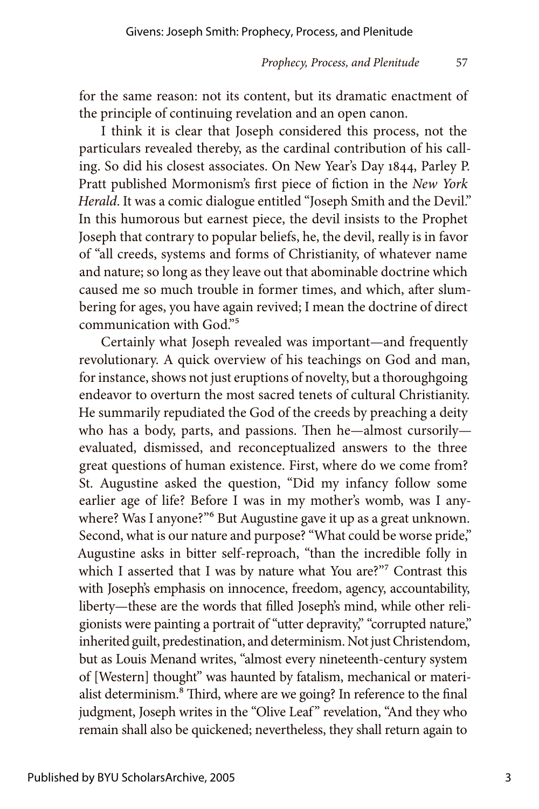for the same reason: not its content, but its dramatic enactment of the principle of continuing revelation and an open canon.

 I think it is clear that Joseph considered this process, not the particulars revealed thereby, as the cardinal contribution of his calling. So did his closest associates. On New Year's Day 844, Parley P. Pratt published Mormonism's first piece of fiction in the *New York Herald*. It was a comic dialogue entitled "Joseph Smith and the Devil." In this humorous but earnest piece, the devil insists to the Prophet Joseph that contrary to popular beliefs, he, the devil, really is in favor of "all creeds, systems and forms of Christianity, of whatever name and nature; so long as they leave out that abominable doctrine which caused me so much trouble in former times, and which, after slumbering for ages, you have again revived; I mean the doctrine of direct communication with God."<sup>5</sup>

 Certainly what Joseph revealed was important—and frequently revolutionary. A quick overview of his teachings on God and man, for instance, shows not just eruptions of novelty, but a thoroughgoing endeavor to overturn the most sacred tenets of cultural Christianity. He summarily repudiated the God of the creeds by preaching a deity who has a body, parts, and passions. Then he—almost cursorily evaluated, dismissed, and reconceptualized answers to the three great questions of human existence. First, where do we come from? St. Augustine asked the question, "Did my infancy follow some earlier age of life? Before I was in my mother's womb, was I anywhere? Was I anyone?"<sup>6</sup> But Augustine gave it up as a great unknown. Second, what is our nature and purpose? "What could be worse pride," Augustine asks in bitter self-reproach, "than the incredible folly in which I asserted that I was by nature what You are?"<sup>7</sup> Contrast this with Joseph's emphasis on innocence, freedom, agency, accountability, liberty—these are the words that filled Joseph's mind, while other religionists were painting a portrait of "utter depravity," "corrupted nature," inherited guilt, predestination, and determinism. Not just Christendom, but as Louis Menand writes, "almost every nineteenth-century system of [Western] thought" was haunted by fatalism, mechanical or materialist determinism.<sup>8</sup> Third, where are we going? In reference to the final judgment, Joseph writes in the "Olive Leaf" revelation, "And they who remain shall also be quickened; nevertheless, they shall return again to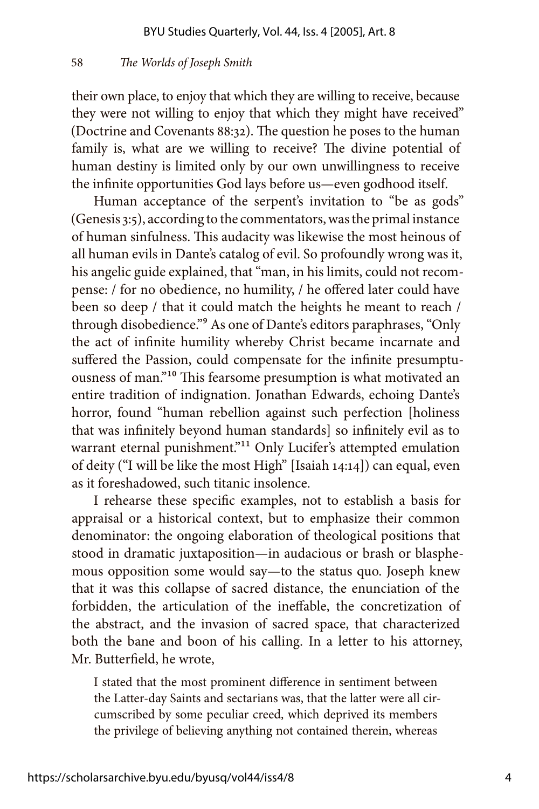their own place, to enjoy that which they are willing to receive, because they were not willing to enjoy that which they might have received" (Doctrine and Covenants 88:32). The question he poses to the human family is, what are we willing to receive? The divine potential of human destiny is limited only by our own unwillingness to receive the infinite opportunities God lays before us—even godhood itself.

 Human acceptance of the serpent's invitation to "be as gods" (Genesis 3:5), according to the commentators, was the primal instance of human sinfulness. This audacity was likewise the most heinous of all human evils in Dante's catalog of evil. So profoundly wrong was it, his angelic guide explained, that "man, in his limits, could not recompense: / for no obedience, no humility, / he offered later could have been so deep / that it could match the heights he meant to reach / through disobedience."<sup>9</sup> As one of Dante's editors paraphrases, "Only the act of infinite humility whereby Christ became incarnate and suffered the Passion, could compensate for the infinite presumptuousness of man."<sup>10</sup> This fearsome presumption is what motivated an entire tradition of indignation. Jonathan Edwards, echoing Dante's horror, found "human rebellion against such perfection [holiness that was infinitely beyond human standards] so infinitely evil as to warrant eternal punishment."<sup>11</sup> Only Lucifer's attempted emulation of deity ("I will be like the most High" [Isaiah 4:4]) can equal, even as it foreshadowed, such titanic insolence.

 I rehearse these specific examples, not to establish a basis for appraisal or a historical context, but to emphasize their common denominator: the ongoing elaboration of theological positions that stood in dramatic juxtaposition—in audacious or brash or blasphemous opposition some would say—to the status quo. Joseph knew that it was this collapse of sacred distance, the enunciation of the forbidden, the articulation of the ineffable, the concretization of the abstract, and the invasion of sacred space, that characterized both the bane and boon of his calling. In a letter to his attorney, Mr. Butterfield, he wrote,

I stated that the most prominent difference in sentiment between the Latter-day Saints and sectarians was, that the latter were all circumscribed by some peculiar creed, which deprived its members the privilege of believing anything not contained therein, whereas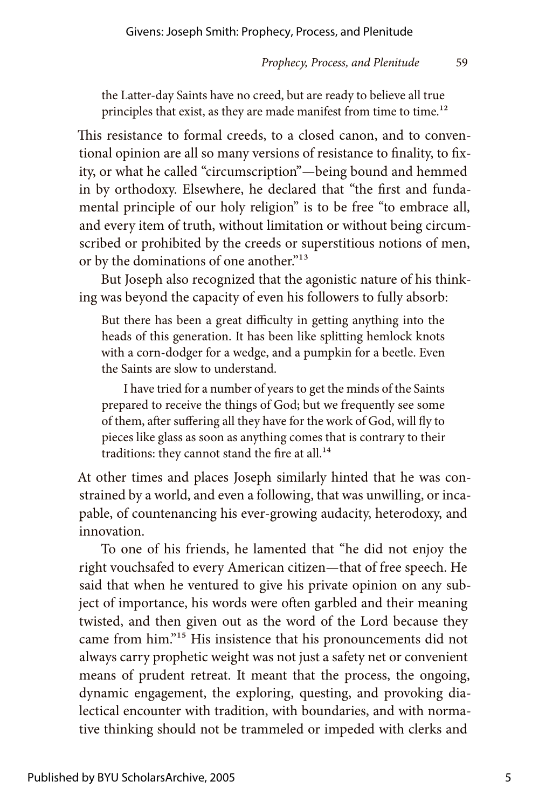the Latter-day Saints have no creed, but are ready to believe all true principles that exist, as they are made manifest from time to time.<sup>12</sup>

This resistance to formal creeds, to a closed canon, and to conventional opinion are all so many versions of resistance to finality, to fixity, or what he called "circumscription"—being bound and hemmed in by orthodoxy. Elsewhere, he declared that "the first and fundamental principle of our holy religion" is to be free "to embrace all, and every item of truth, without limitation or without being circumscribed or prohibited by the creeds or superstitious notions of men, or by the dominations of one another."<sup>13</sup>

 But Joseph also recognized that the agonistic nature of his thinking was beyond the capacity of even his followers to fully absorb:

But there has been a great difficulty in getting anything into the heads of this generation. It has been like splitting hemlock knots with a corn-dodger for a wedge, and a pumpkin for a beetle. Even the Saints are slow to understand.

 I have tried for a number of years to get the minds of the Saints prepared to receive the things of God; but we frequently see some of them, after suffering all they have for the work of God, will fly to pieces like glass as soon as anything comes that is contrary to their traditions: they cannot stand the fire at all.<sup>14</sup>

At other times and places Joseph similarly hinted that he was constrained by a world, and even a following, that was unwilling, or incapable, of countenancing his ever-growing audacity, heterodoxy, and innovation.

 To one of his friends, he lamented that "he did not enjoy the right vouchsafed to every American citizen—that of free speech. He said that when he ventured to give his private opinion on any subject of importance, his words were often garbled and their meaning twisted, and then given out as the word of the Lord because they came from him."<sup>15</sup> His insistence that his pronouncements did not always carry prophetic weight was not just a safety net or convenient means of prudent retreat. It meant that the process, the ongoing, dynamic engagement, the exploring, questing, and provoking dialectical encounter with tradition, with boundaries, and with normative thinking should not be trammeled or impeded with clerks and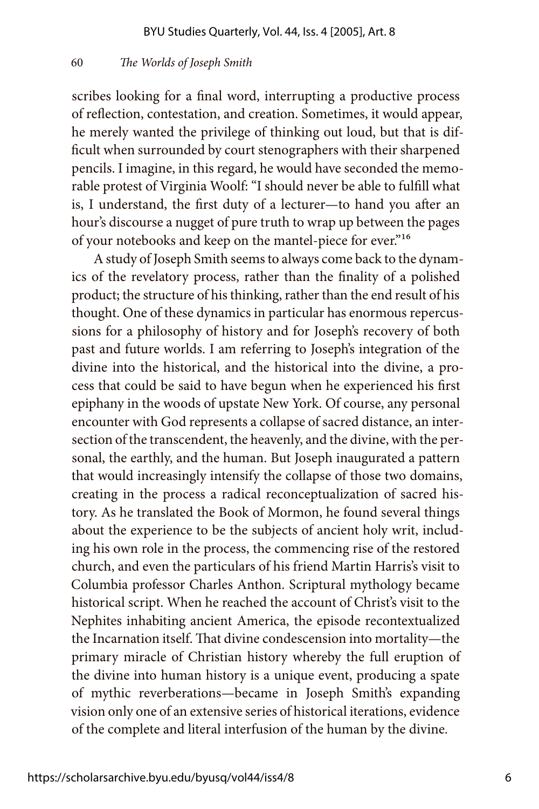scribes looking for a final word, interrupting a productive process of reflection, contestation, and creation. Sometimes, it would appear, he merely wanted the privilege of thinking out loud, but that is difficult when surrounded by court stenographers with their sharpened pencils. I imagine, in this regard, he would have seconded the memorable protest of Virginia Woolf: "I should never be able to fulfill what is, I understand, the first duty of a lecturer—to hand you after an hour's discourse a nugget of pure truth to wrap up between the pages of your notebooks and keep on the mantel-piece for ever."<sup>16</sup>

 A study of Joseph Smith seems to always come back to the dynamics of the revelatory process, rather than the finality of a polished product; the structure of his thinking, rather than the end result of his thought. One of these dynamics in particular has enormous repercussions for a philosophy of history and for Joseph's recovery of both past and future worlds. I am referring to Joseph's integration of the divine into the historical, and the historical into the divine, a process that could be said to have begun when he experienced his first epiphany in the woods of upstate New York. Of course, any personal encounter with God represents a collapse of sacred distance, an intersection of the transcendent, the heavenly, and the divine, with the personal, the earthly, and the human. But Joseph inaugurated a pattern that would increasingly intensify the collapse of those two domains, creating in the process a radical reconceptualization of sacred history. As he translated the Book of Mormon, he found several things about the experience to be the subjects of ancient holy writ, including his own role in the process, the commencing rise of the restored church, and even the particulars of his friend Martin Harris's visit to Columbia professor Charles Anthon. Scriptural mythology became historical script. When he reached the account of Christ's visit to the Nephites inhabiting ancient America, the episode recontextualized the Incarnation itself. That divine condescension into mortality—the primary miracle of Christian history whereby the full eruption of the divine into human history is a unique event, producing a spate of mythic reverberations—became in Joseph Smith's expanding vision only one of an extensive series of historical iterations, evidence of the complete and literal interfusion of the human by the divine.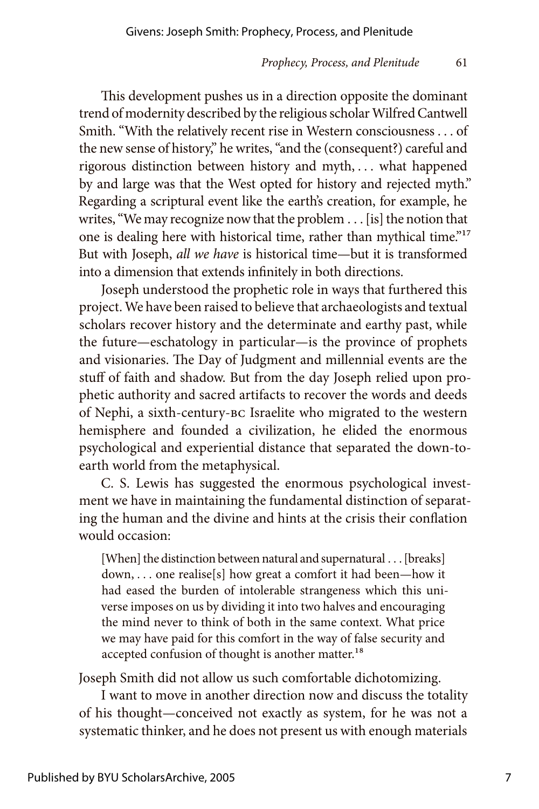This development pushes us in a direction opposite the dominant trend of modernity described by the religious scholar Wilfred Cantwell Smith. "With the relatively recent rise in Western consciousness . . . of the new sense of history," he writes, "and the (consequent?) careful and rigorous distinction between history and myth, . . . what happened by and large was that the West opted for history and rejected myth." Regarding a scriptural event like the earth's creation, for example, he writes, "We may recognize now that the problem . . . [is] the notion that one is dealing here with historical time, rather than mythical time."<sup>17</sup> But with Joseph, *all we have* is historical time—but it is transformed into a dimension that extends infinitely in both directions.

 Joseph understood the prophetic role in ways that furthered this project. We have been raised to believe that archaeologists and textual scholars recover history and the determinate and earthy past, while the future—eschatology in particular—is the province of prophets and visionaries. The Day of Judgment and millennial events are the stuff of faith and shadow. But from the day Joseph relied upon prophetic authority and sacred artifacts to recover the words and deeds of Nephi, a sixth-century-bc Israelite who migrated to the western hemisphere and founded a civilization, he elided the enormous psychological and experiential distance that separated the down-toearth world from the metaphysical.

 C. S. Lewis has suggested the enormous psychological investment we have in maintaining the fundamental distinction of separating the human and the divine and hints at the crisis their conflation would occasion:

[When] the distinction between natural and supernatural . . . [breaks] down, . . . one realise[s] how great a comfort it had been—how it had eased the burden of intolerable strangeness which this universe imposes on us by dividing it into two halves and encouraging the mind never to think of both in the same context. What price we may have paid for this comfort in the way of false security and accepted confusion of thought is another matter.<sup>18</sup>

Joseph Smith did not allow us such comfortable dichotomizing.

 I want to move in another direction now and discuss the totality of his thought—conceived not exactly as system, for he was not a systematic thinker, and he does not present us with enough materials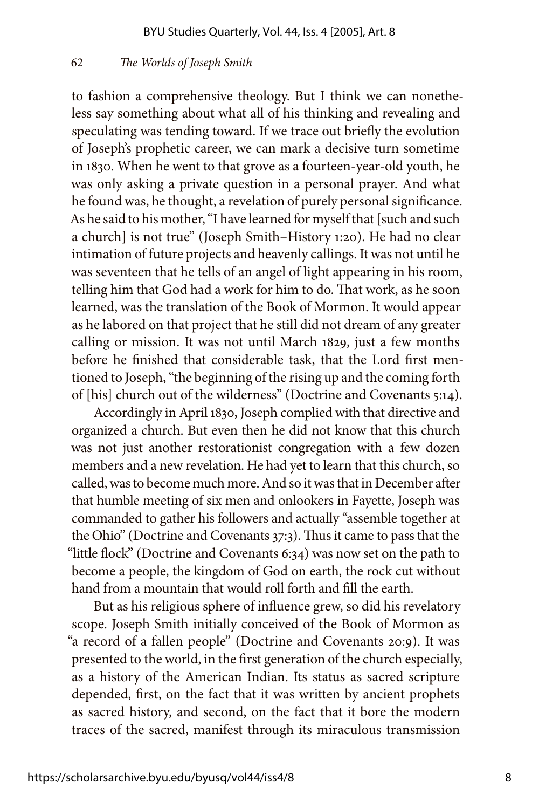to fashion a comprehensive theology. But I think we can nonetheless say something about what all of his thinking and revealing and speculating was tending toward. If we trace out briefly the evolution of Joseph's prophetic career, we can mark a decisive turn sometime in 1830. When he went to that grove as a fourteen-year-old youth, he was only asking a private question in a personal prayer. And what he found was, he thought, a revelation of purely personal significance. As he said to his mother, "I have learned for myself that [such and such a church] is not true" (Joseph Smith–History :20). He had no clear intimation of future projects and heavenly callings. It was not until he was seventeen that he tells of an angel of light appearing in his room, telling him that God had a work for him to do. That work, as he soon learned, was the translation of the Book of Mormon. It would appear as he labored on that project that he still did not dream of any greater calling or mission. It was not until March 1829, just a few months before he finished that considerable task, that the Lord first mentioned to Joseph, "the beginning of the rising up and the coming forth of [his] church out of the wilderness" (Doctrine and Covenants 5:4).

 Accordingly in April 830, Joseph complied with that directive and organized a church. But even then he did not know that this church was not just another restorationist congregation with a few dozen members and a new revelation. He had yet to learn that this church, so called, was to become much more. And so it was that in December after that humble meeting of six men and onlookers in Fayette, Joseph was commanded to gather his followers and actually "assemble together at the Ohio" (Doctrine and Covenants 37:3). Thus it came to pass that the "little flock" (Doctrine and Covenants 6:34) was now set on the path to become a people, the kingdom of God on earth, the rock cut without hand from a mountain that would roll forth and fill the earth.

 But as his religious sphere of influence grew, so did his revelatory scope. Joseph Smith initially conceived of the Book of Mormon as "a record of a fallen people" (Doctrine and Covenants 20:9). It was presented to the world, in the first generation of the church especially, as a history of the American Indian. Its status as sacred scripture depended, first, on the fact that it was written by ancient prophets as sacred history, and second, on the fact that it bore the modern traces of the sacred, manifest through its miraculous transmission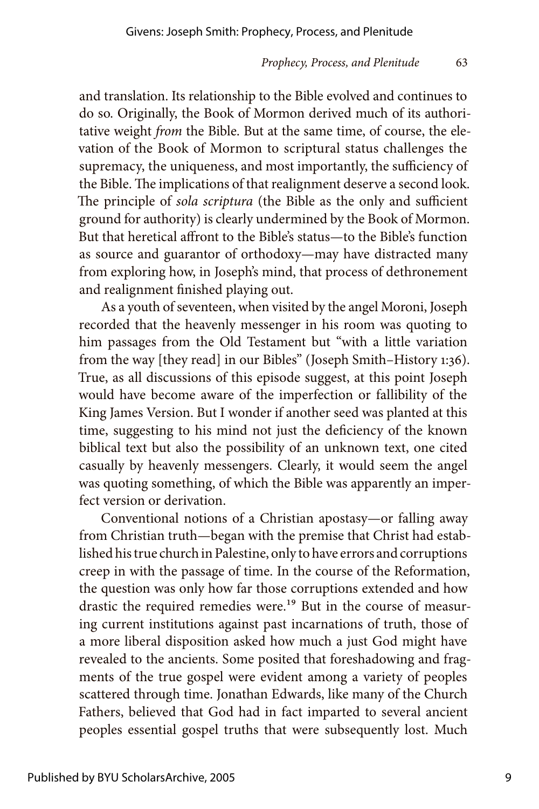and translation. Its relationship to the Bible evolved and continues to do so. Originally, the Book of Mormon derived much of its authoritative weight *from* the Bible. But at the same time, of course, the elevation of the Book of Mormon to scriptural status challenges the supremacy, the uniqueness, and most importantly, the sufficiency of the Bible. The implications of that realignment deserve a second look. The principle of *sola scriptura* (the Bible as the only and sufficient ground for authority) is clearly undermined by the Book of Mormon. But that heretical affront to the Bible's status—to the Bible's function as source and guarantor of orthodoxy—may have distracted many from exploring how, in Joseph's mind, that process of dethronement and realignment finished playing out.

 As a youth of seventeen, when visited by the angel Moroni, Joseph recorded that the heavenly messenger in his room was quoting to him passages from the Old Testament but "with a little variation from the way [they read] in our Bibles" (Joseph Smith–History 1:36). True, as all discussions of this episode suggest, at this point Joseph would have become aware of the imperfection or fallibility of the King James Version. But I wonder if another seed was planted at this time, suggesting to his mind not just the deficiency of the known biblical text but also the possibility of an unknown text, one cited casually by heavenly messengers. Clearly, it would seem the angel was quoting something, of which the Bible was apparently an imperfect version or derivation.

 Conventional notions of a Christian apostasy—or falling away from Christian truth—began with the premise that Christ had established his true church in Palestine, only to have errors and corruptions creep in with the passage of time. In the course of the Reformation, the question was only how far those corruptions extended and how drastic the required remedies were.<sup>19</sup> But in the course of measuring current institutions against past incarnations of truth, those of a more liberal disposition asked how much a just God might have revealed to the ancients. Some posited that foreshadowing and fragments of the true gospel were evident among a variety of peoples scattered through time. Jonathan Edwards, like many of the Church Fathers, believed that God had in fact imparted to several ancient peoples essential gospel truths that were subsequently lost. Much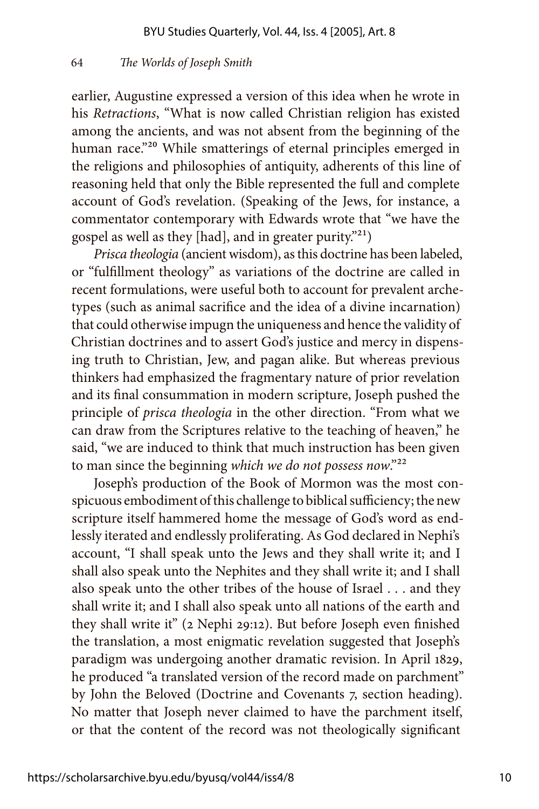earlier, Augustine expressed a version of this idea when he wrote in his *Retractions*, "What is now called Christian religion has existed among the ancients, and was not absent from the beginning of the human race."<sup>20</sup> While smatterings of eternal principles emerged in the religions and philosophies of antiquity, adherents of this line of reasoning held that only the Bible represented the full and complete account of God's revelation. (Speaking of the Jews, for instance, a commentator contemporary with Edwards wrote that "we have the gospel as well as they [had], and in greater purity. $i^{21}$ ]

*Prisca theologia* (ancient wisdom), as this doctrine has been labeled, or "fulfillment theology" as variations of the doctrine are called in recent formulations, were useful both to account for prevalent archetypes (such as animal sacrifice and the idea of a divine incarnation) that could otherwise impugn the uniqueness and hence the validity of Christian doctrines and to assert God's justice and mercy in dispensing truth to Christian, Jew, and pagan alike. But whereas previous thinkers had emphasized the fragmentary nature of prior revelation and its final consummation in modern scripture, Joseph pushed the principle of *prisca theologia* in the other direction. "From what we can draw from the Scriptures relative to the teaching of heaven," he said, "we are induced to think that much instruction has been given to man since the beginning which we do not possess now."<sup>22</sup>

 Joseph's production of the Book of Mormon was the most conspicuous embodiment of this challenge to biblical sufficiency; the new scripture itself hammered home the message of God's word as endlessly iterated and endlessly proliferating. As God declared in Nephi's account, "I shall speak unto the Jews and they shall write it; and I shall also speak unto the Nephites and they shall write it; and I shall also speak unto the other tribes of the house of Israel . . . and they shall write it; and I shall also speak unto all nations of the earth and they shall write it" (2 Nephi 29:2). But before Joseph even finished the translation, a most enigmatic revelation suggested that Joseph's paradigm was undergoing another dramatic revision. In April 1829, he produced "a translated version of the record made on parchment" by John the Beloved (Doctrine and Covenants 7, section heading). No matter that Joseph never claimed to have the parchment itself, or that the content of the record was not theologically significant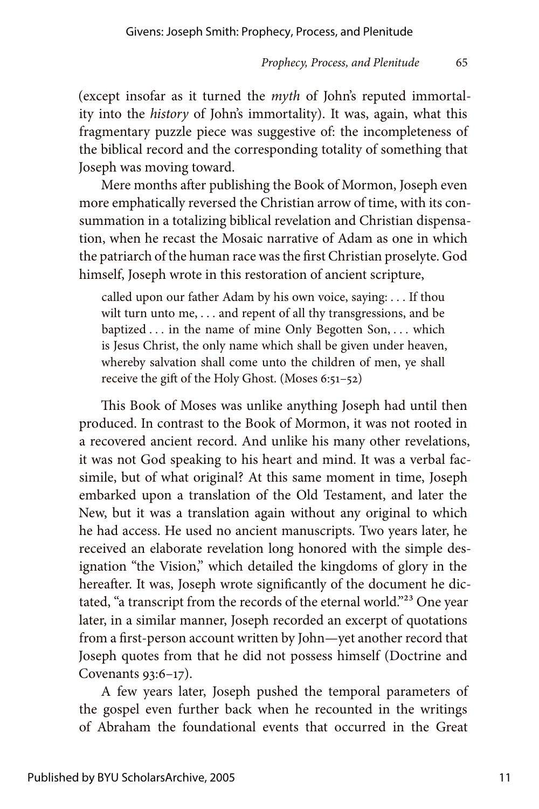(except insofar as it turned the *myth* of John's reputed immortality into the *history* of John's immortality). It was, again, what this fragmentary puzzle piece was suggestive of: the incompleteness of the biblical record and the corresponding totality of something that Joseph was moving toward.

 Mere months after publishing the Book of Mormon, Joseph even more emphatically reversed the Christian arrow of time, with its consummation in a totalizing biblical revelation and Christian dispensation, when he recast the Mosaic narrative of Adam as one in which the patriarch of the human race was the first Christian proselyte. God himself, Joseph wrote in this restoration of ancient scripture,

called upon our father Adam by his own voice, saying: . . . If thou wilt turn unto me, . . . and repent of all thy transgressions, and be baptized . . . in the name of mine Only Begotten Son, . . . which is Jesus Christ, the only name which shall be given under heaven, whereby salvation shall come unto the children of men, ye shall receive the gift of the Holy Ghost. (Moses 6:51-52)

 This Book of Moses was unlike anything Joseph had until then produced. In contrast to the Book of Mormon, it was not rooted in a recovered ancient record. And unlike his many other revelations, it was not God speaking to his heart and mind. It was a verbal facsimile, but of what original? At this same moment in time, Joseph embarked upon a translation of the Old Testament, and later the New, but it was a translation again without any original to which he had access. He used no ancient manuscripts. Two years later, he received an elaborate revelation long honored with the simple designation "the Vision," which detailed the kingdoms of glory in the hereafter. It was, Joseph wrote significantly of the document he dictated, "a transcript from the records of the eternal world."<sup>23</sup> One year later, in a similar manner, Joseph recorded an excerpt of quotations from a first-person account written by John—yet another record that Joseph quotes from that he did not possess himself (Doctrine and Covenants  $93:6-17$ ).

 A few years later, Joseph pushed the temporal parameters of the gospel even further back when he recounted in the writings of Abraham the foundational events that occurred in the Great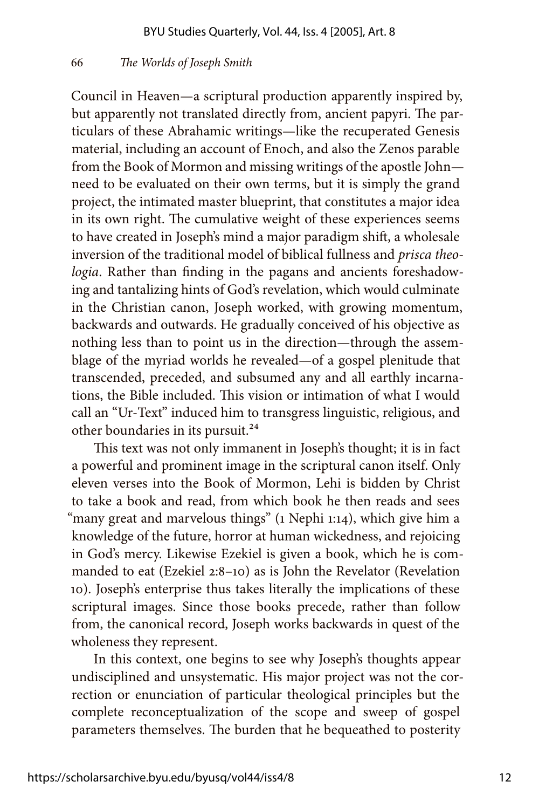Council in Heaven—a scriptural production apparently inspired by, but apparently not translated directly from, ancient papyri. The particulars of these Abrahamic writings—like the recuperated Genesis material, including an account of Enoch, and also the Zenos parable from the Book of Mormon and missing writings of the apostle John need to be evaluated on their own terms, but it is simply the grand project, the intimated master blueprint, that constitutes a major idea in its own right. The cumulative weight of these experiences seems to have created in Joseph's mind a major paradigm shift, a wholesale inversion of the traditional model of biblical fullness and *prisca theologia*. Rather than finding in the pagans and ancients foreshadowing and tantalizing hints of God's revelation, which would culminate in the Christian canon, Joseph worked, with growing momentum, backwards and outwards. He gradually conceived of his objective as nothing less than to point us in the direction—through the assemblage of the myriad worlds he revealed—of a gospel plenitude that transcended, preceded, and subsumed any and all earthly incarnations, the Bible included. This vision or intimation of what I would call an "Ur-Text" induced him to transgress linguistic, religious, and other boundaries in its pursuit.<sup>24</sup>

 This text was not only immanent in Joseph's thought; it is in fact a powerful and prominent image in the scriptural canon itself. Only eleven verses into the Book of Mormon, Lehi is bidden by Christ to take a book and read, from which book he then reads and sees "many great and marvelous things" (1 Nephi 1:14), which give him a knowledge of the future, horror at human wickedness, and rejoicing in God's mercy. Likewise Ezekiel is given a book, which he is commanded to eat (Ezekiel 2:8–0) as is John the Revelator (Revelation 0). Joseph's enterprise thus takes literally the implications of these scriptural images. Since those books precede, rather than follow from, the canonical record, Joseph works backwards in quest of the wholeness they represent.

 In this context, one begins to see why Joseph's thoughts appear undisciplined and unsystematic. His major project was not the correction or enunciation of particular theological principles but the complete reconceptualization of the scope and sweep of gospel parameters themselves. The burden that he bequeathed to posterity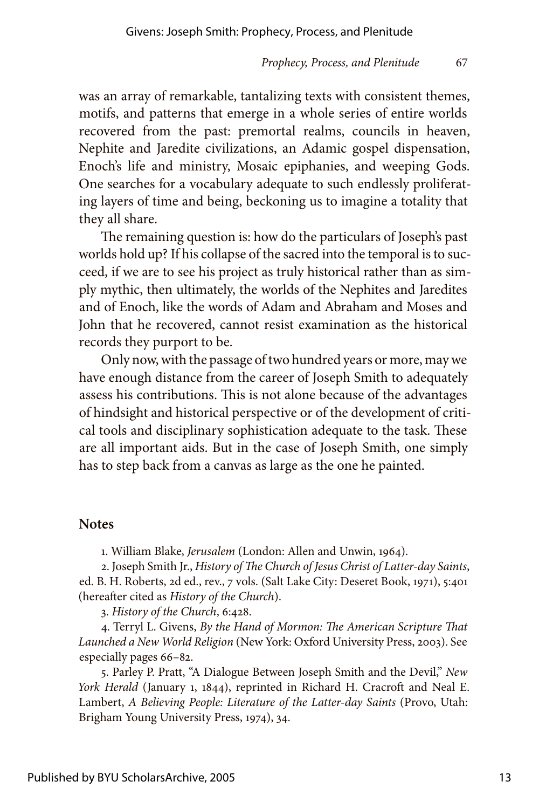was an array of remarkable, tantalizing texts with consistent themes, motifs, and patterns that emerge in a whole series of entire worlds recovered from the past: premortal realms, councils in heaven, Nephite and Jaredite civilizations, an Adamic gospel dispensation, Enoch's life and ministry, Mosaic epiphanies, and weeping Gods. One searches for a vocabulary adequate to such endlessly proliferating layers of time and being, beckoning us to imagine a totality that they all share.

 The remaining question is: how do the particulars of Joseph's past worlds hold up? If his collapse of the sacred into the temporal is to succeed, if we are to see his project as truly historical rather than as simply mythic, then ultimately, the worlds of the Nephites and Jaredites and of Enoch, like the words of Adam and Abraham and Moses and John that he recovered, cannot resist examination as the historical records they purport to be.

 Only now, with the passage of two hundred years or more, may we have enough distance from the career of Joseph Smith to adequately assess his contributions. This is not alone because of the advantages of hindsight and historical perspective or of the development of critical tools and disciplinary sophistication adequate to the task. These are all important aids. But in the case of Joseph Smith, one simply has to step back from a canvas as large as the one he painted.

#### **Notes**

. William Blake, *Jerusalem* (London: Allen and Unwin, 964).

 2. Joseph Smith Jr., *History of The Church of Jesus Christ of Latter-day Saints*, ed. B. H. Roberts, 2d ed., rev., 7 vols. (Salt Lake City: Deseret Book, 1971), 5:401 (hereafter cited as *History of the Church*).

3. *History of the Church*, 6:428.

 4. Terryl L. Givens, *By the Hand of Mormon: The American Scripture That Launched a New World Religion* (New York: Oxford University Press, 2003). See especially pages 66–82.

 5. Parley P. Pratt, "A Dialogue Between Joseph Smith and the Devil," *New York Herald* (January 1, 1844), reprinted in Richard H. Cracroft and Neal E. Lambert, *A Believing People: Literature of the Latter-day Saints* (Provo, Utah: Brigham Young University Press, 1974), 34.